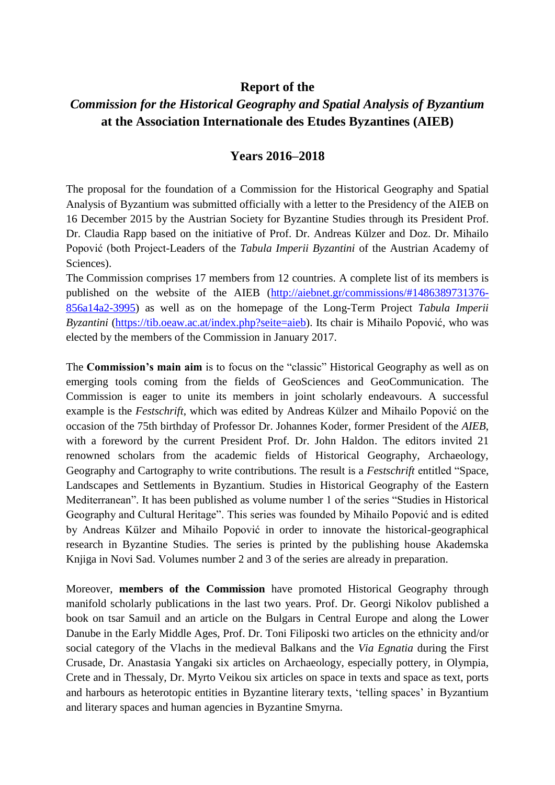## **Report of the**

## *Commission for the Historical Geography and Spatial Analysis of Byzantium* **at the Association Internationale des Etudes Byzantines (AIEB)**

## **Years 2016–2018**

The proposal for the foundation of a Commission for the Historical Geography and Spatial Analysis of Byzantium was submitted officially with a letter to the Presidency of the AIEB on 16 December 2015 by the Austrian Society for Byzantine Studies through its President Prof. Dr. Claudia Rapp based on the initiative of Prof. Dr. Andreas Külzer and Doz. Dr. Mihailo Popović (both Project-Leaders of the *Tabula Imperii Byzantini* of the Austrian Academy of Sciences).

The Commission comprises 17 members from 12 countries. A complete list of its members is published on the website of the AIEB [\(http://aiebnet.gr/commissions/#1486389731376-](http://aiebnet.gr/commissions/#1486389731376-856a14a2-3995) [856a14a2-3995\)](http://aiebnet.gr/commissions/#1486389731376-856a14a2-3995) as well as on the homepage of the Long-Term Project *Tabula Imperii Byzantini* [\(https://tib.oeaw.ac.at/index.php?seite=aieb\)](https://tib.oeaw.ac.at/index.php?seite=aieb). Its chair is Mihailo Popović, who was elected by the members of the Commission in January 2017.

The **Commission's main aim** is to focus on the "classic" Historical Geography as well as on emerging tools coming from the fields of GeoSciences and GeoCommunication. The Commission is eager to unite its members in joint scholarly endeavours. A successful example is the *Festschrift*, which was edited by Andreas Külzer and Mihailo Popović on the occasion of the 75th birthday of Professor Dr. Johannes Koder, former President of the *AIEB*, with a foreword by the current President Prof. Dr. John Haldon. The editors invited 21 renowned scholars from the academic fields of Historical Geography, Archaeology, Geography and Cartography to write contributions. The result is a *Festschrift* entitled "Space, Landscapes and Settlements in Byzantium. Studies in Historical Geography of the Eastern Mediterranean". It has been published as volume number 1 of the series "Studies in Historical Geography and Cultural Heritage". This series was founded by Mihailo Popović and is edited by Andreas Külzer and Mihailo Popović in order to innovate the historical-geographical research in Byzantine Studies. The series is printed by the publishing house Akademska Knjiga in Novi Sad. Volumes number 2 and 3 of the series are already in preparation.

Moreover, **members of the Commission** have promoted Historical Geography through manifold scholarly publications in the last two years. Prof. Dr. Georgi Nikolov published a book on tsar Samuil and an article on the Bulgars in Central Europe and along the Lower Danube in the Early Middle Ages, Prof. Dr. Toni Filiposki two articles on the ethnicity and/or social category of the Vlachs in the medieval Balkans and the *Via Egnatia* during the First Crusade, Dr. Anastasia Yangaki six articles on Archaeology, especially pottery, in Olympia, Crete and in Thessaly, Dr. Myrto Veikou six articles on space in texts and space as text, ports and harbours as heterotopic entities in Byzantine literary texts, 'telling spaces' in Byzantium and literary spaces and human agencies in Byzantine Smyrna.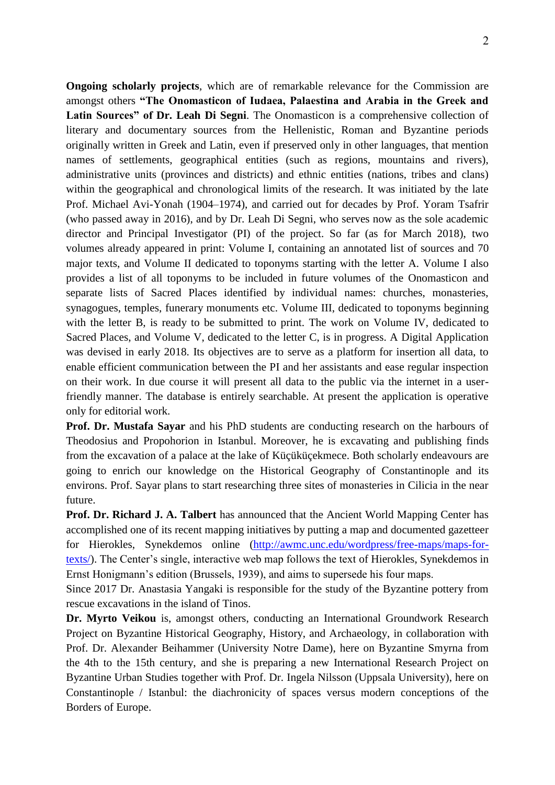**Ongoing scholarly projects**, which are of remarkable relevance for the Commission are amongst others **"The Onomasticon of Iudaea, Palaestina and Arabia in the Greek and Latin Sources" of Dr. Leah Di Segni**. The Onomasticon is a comprehensive collection of literary and documentary sources from the Hellenistic, Roman and Byzantine periods originally written in Greek and Latin, even if preserved only in other languages, that mention names of settlements, geographical entities (such as regions, mountains and rivers), administrative units (provinces and districts) and ethnic entities (nations, tribes and clans) within the geographical and chronological limits of the research. It was initiated by the late Prof. Michael Avi-Yonah (1904–1974), and carried out for decades by Prof. Yoram Tsafrir (who passed away in 2016), and by Dr. Leah Di Segni, who serves now as the sole academic director and Principal Investigator (PI) of the project. So far (as for March 2018), two volumes already appeared in print: Volume I, containing an annotated list of sources and 70 major texts, and Volume II dedicated to toponyms starting with the letter A. Volume I also provides a list of all toponyms to be included in future volumes of the Onomasticon and separate lists of Sacred Places identified by individual names: churches, monasteries, synagogues, temples, funerary monuments etc. Volume III, dedicated to toponyms beginning with the letter B, is ready to be submitted to print. The work on Volume IV, dedicated to Sacred Places, and Volume V, dedicated to the letter C, is in progress. A Digital Application was devised in early 2018. Its objectives are to serve as a platform for insertion all data, to enable efficient communication between the PI and her assistants and ease regular inspection on their work. In due course it will present all data to the public via the internet in a userfriendly manner. The database is entirely searchable. At present the application is operative only for editorial work.

**Prof. Dr. Mustafa Sayar** and his PhD students are conducting research on the harbours of Theodosius and Propohorion in Istanbul. Moreover, he is excavating and publishing finds from the excavation of a palace at the lake of Küçüküçekmece. Both scholarly endeavours are going to enrich our knowledge on the Historical Geography of Constantinople and its environs. Prof. Sayar plans to start researching three sites of monasteries in Cilicia in the near future.

**Prof. Dr. Richard J. A. Talbert** has announced that the Ancient World Mapping Center has accomplished one of its recent mapping initiatives by putting a map and documented gazetteer for Hierokles, Synekdemos online [\(http://awmc.unc.edu/wordpress/free-maps/maps-for](http://awmc.unc.edu/wordpress/free-maps/maps-for-texts/)[texts/\)](http://awmc.unc.edu/wordpress/free-maps/maps-for-texts/). The Center's single, interactive web map follows the text of Hierokles, Synekdemos in Ernst Honigmann's edition (Brussels, 1939), and aims to supersede his four maps.

Since 2017 Dr. Anastasia Yangaki is responsible for the study of the Byzantine pottery from rescue excavations in the island of Tinos.

**Dr. Myrto Veikou** is, amongst others, conducting an International Groundwork Research Project on Byzantine Historical Geography, History, and Archaeology, in collaboration with Prof. Dr. Alexander Beihammer (University Notre Dame), here on Byzantine Smyrna from the 4th to the 15th century, and she is preparing a new International Research Project on Byzantine Urban Studies together with Prof. Dr. Ingela Nilsson (Uppsala University), here on Constantinople / Istanbul: the diachronicity of spaces versus modern conceptions of the Borders of Europe.